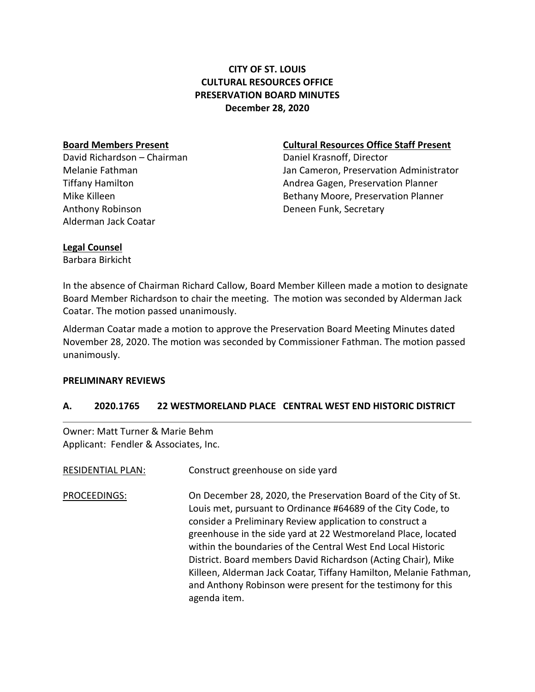# **CITY OF ST. LOUIS CULTURAL RESOURCES OFFICE PRESERVATION BOARD MINUTES December 28, 2020**

David Richardson – Chairman Daniel Krasnoff, Director Anthony Robinson **Deneen Funk, Secretary** Alderman Jack Coatar

### **Board Members Present Cultural Resources Office Staff Present**

Melanie Fathman Jan Cameron, Preservation Administrator Tiffany Hamilton Andrea Gagen, Preservation Planner Mike Killeen **Bethany Moore, Preservation Planner** Bethany Moore, Preservation Planner

# **Legal Counsel**

Barbara Birkicht

In the absence of Chairman Richard Callow, Board Member Killeen made a motion to designate Board Member Richardson to chair the meeting. The motion was seconded by Alderman Jack Coatar. The motion passed unanimously.

Alderman Coatar made a motion to approve the Preservation Board Meeting Minutes dated November 28, 2020. The motion was seconded by Commissioner Fathman. The motion passed unanimously.

# **PRELIMINARY REVIEWS**

# **A. 2020.1765 22 WESTMORELAND PLACE CENTRAL WEST END HISTORIC DISTRICT**

Owner: Matt Turner & Marie Behm Applicant: Fendler & Associates, Inc.

| <b>RESIDENTIAL PLAN:</b> | Construct greenhouse on side yard                                                                                                                                                                                                                                                                                                                                                                                                                                                                                                                  |
|--------------------------|----------------------------------------------------------------------------------------------------------------------------------------------------------------------------------------------------------------------------------------------------------------------------------------------------------------------------------------------------------------------------------------------------------------------------------------------------------------------------------------------------------------------------------------------------|
| PROCEEDINGS:             | On December 28, 2020, the Preservation Board of the City of St.<br>Louis met, pursuant to Ordinance #64689 of the City Code, to<br>consider a Preliminary Review application to construct a<br>greenhouse in the side yard at 22 Westmoreland Place, located<br>within the boundaries of the Central West End Local Historic<br>District. Board members David Richardson (Acting Chair), Mike<br>Killeen, Alderman Jack Coatar, Tiffany Hamilton, Melanie Fathman,<br>and Anthony Robinson were present for the testimony for this<br>agenda item. |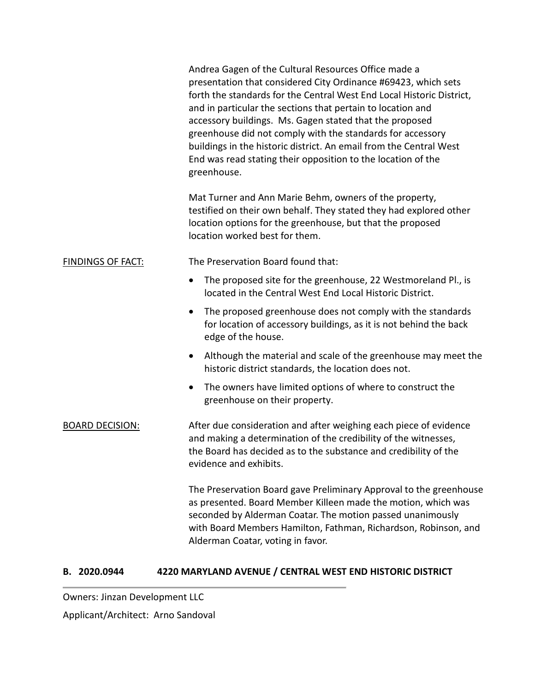|                          | Andrea Gagen of the Cultural Resources Office made a<br>presentation that considered City Ordinance #69423, which sets<br>forth the standards for the Central West End Local Historic District,<br>and in particular the sections that pertain to location and<br>accessory buildings. Ms. Gagen stated that the proposed<br>greenhouse did not comply with the standards for accessory<br>buildings in the historic district. An email from the Central West<br>End was read stating their opposition to the location of the<br>greenhouse. |
|--------------------------|----------------------------------------------------------------------------------------------------------------------------------------------------------------------------------------------------------------------------------------------------------------------------------------------------------------------------------------------------------------------------------------------------------------------------------------------------------------------------------------------------------------------------------------------|
|                          | Mat Turner and Ann Marie Behm, owners of the property,<br>testified on their own behalf. They stated they had explored other<br>location options for the greenhouse, but that the proposed<br>location worked best for them.                                                                                                                                                                                                                                                                                                                 |
| <b>FINDINGS OF FACT:</b> | The Preservation Board found that:                                                                                                                                                                                                                                                                                                                                                                                                                                                                                                           |
|                          | The proposed site for the greenhouse, 22 Westmoreland Pl., is<br>located in the Central West End Local Historic District.                                                                                                                                                                                                                                                                                                                                                                                                                    |
|                          | The proposed greenhouse does not comply with the standards<br>for location of accessory buildings, as it is not behind the back<br>edge of the house.                                                                                                                                                                                                                                                                                                                                                                                        |
|                          | Although the material and scale of the greenhouse may meet the<br>historic district standards, the location does not.                                                                                                                                                                                                                                                                                                                                                                                                                        |
|                          | The owners have limited options of where to construct the<br>greenhouse on their property.                                                                                                                                                                                                                                                                                                                                                                                                                                                   |
| <b>BOARD DECISION:</b>   | After due consideration and after weighing each piece of evidence<br>and making a determination of the credibility of the witnesses,<br>the Board has decided as to the substance and credibility of the<br>evidence and exhibits.                                                                                                                                                                                                                                                                                                           |
|                          | The Preservation Board gave Preliminary Approval to the greenhouse<br>as presented. Board Member Killeen made the motion, which was<br>seconded by Alderman Coatar. The motion passed unanimously<br>with Board Members Hamilton, Fathman, Richardson, Robinson, and<br>Alderman Coatar, voting in favor.                                                                                                                                                                                                                                    |

# **B. 2020.0944 4220 MARYLAND AVENUE / CENTRAL WEST END HISTORIC DISTRICT**

Owners: Jinzan Development LLC

Applicant/Architect: Arno Sandoval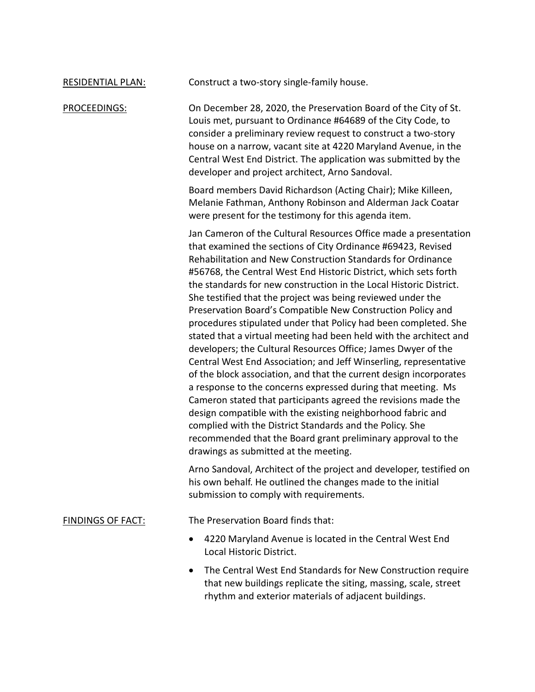RESIDENTIAL PLAN: Construct a two-story single-family house.

PROCEEDINGS: On December 28, 2020, the Preservation Board of the City of St. Louis met, pursuant to Ordinance #64689 of the City Code, to consider a preliminary review request to construct a two-story house on a narrow, vacant site at 4220 Maryland Avenue, in the Central West End District. The application was submitted by the developer and project architect, Arno Sandoval.

> Board members David Richardson (Acting Chair); Mike Killeen, Melanie Fathman, Anthony Robinson and Alderman Jack Coatar were present for the testimony for this agenda item.

Jan Cameron of the Cultural Resources Office made a presentation that examined the sections of City Ordinance #69423, Revised Rehabilitation and New Construction Standards for Ordinance #56768, the Central West End Historic District, which sets forth the standards for new construction in the Local Historic District. She testified that the project was being reviewed under the Preservation Board's Compatible New Construction Policy and procedures stipulated under that Policy had been completed. She stated that a virtual meeting had been held with the architect and developers; the Cultural Resources Office; James Dwyer of the Central West End Association; and Jeff Winserling, representative of the block association, and that the current design incorporates a response to the concerns expressed during that meeting. Ms Cameron stated that participants agreed the revisions made the design compatible with the existing neighborhood fabric and complied with the District Standards and the Policy. She recommended that the Board grant preliminary approval to the drawings as submitted at the meeting.

Arno Sandoval, Architect of the project and developer, testified on his own behalf. He outlined the changes made to the initial submission to comply with requirements.

FINDINGS OF FACT: The Preservation Board finds that:

- 4220 Maryland Avenue is located in the Central West End Local Historic District.
- The Central West End Standards for New Construction require that new buildings replicate the siting, massing, scale, street rhythm and exterior materials of adjacent buildings.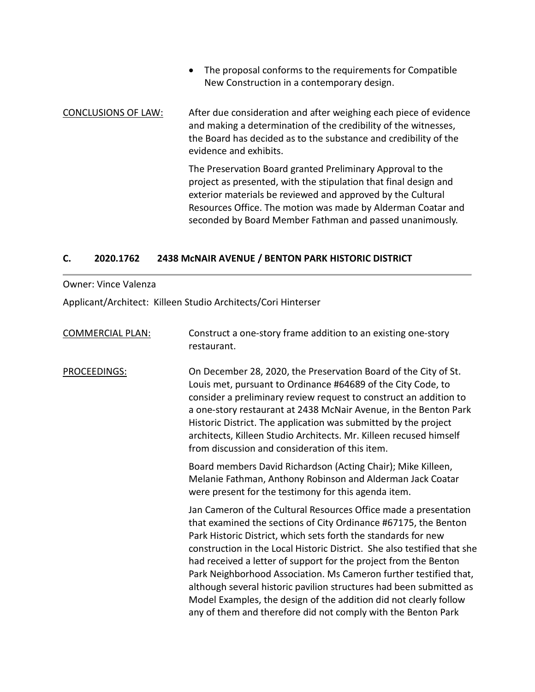• The proposal conforms to the requirements for Compatible New Construction in a contemporary design.

# CONCLUSIONS OF LAW: After due consideration and after weighing each piece of evidence and making a determination of the credibility of the witnesses, the Board has decided as to the substance and credibility of the evidence and exhibits.

The Preservation Board granted Preliminary Approval to the project as presented, with the stipulation that final design and exterior materials be reviewed and approved by the Cultural Resources Office. The motion was made by Alderman Coatar and seconded by Board Member Fathman and passed unanimously.

### **C. 2020.1762 2438 McNAIR AVENUE / BENTON PARK HISTORIC DISTRICT**

### Owner: Vince Valenza

Applicant/Architect: Killeen Studio Architects/Cori Hinterser

| <b>COMMERCIAL PLAN:</b> | Construct a one-story frame addition to an existing one-story<br>restaurant.                                                                                                                                                                                                                                                                                                                                                                                                                                                                                                                                                            |
|-------------------------|-----------------------------------------------------------------------------------------------------------------------------------------------------------------------------------------------------------------------------------------------------------------------------------------------------------------------------------------------------------------------------------------------------------------------------------------------------------------------------------------------------------------------------------------------------------------------------------------------------------------------------------------|
| PROCEEDINGS:            | On December 28, 2020, the Preservation Board of the City of St.<br>Louis met, pursuant to Ordinance #64689 of the City Code, to<br>consider a preliminary review request to construct an addition to<br>a one-story restaurant at 2438 McNair Avenue, in the Benton Park<br>Historic District. The application was submitted by the project<br>architects, Killeen Studio Architects. Mr. Killeen recused himself<br>from discussion and consideration of this item.                                                                                                                                                                    |
|                         | Board members David Richardson (Acting Chair); Mike Killeen,<br>Melanie Fathman, Anthony Robinson and Alderman Jack Coatar<br>were present for the testimony for this agenda item.                                                                                                                                                                                                                                                                                                                                                                                                                                                      |
|                         | Jan Cameron of the Cultural Resources Office made a presentation<br>that examined the sections of City Ordinance #67175, the Benton<br>Park Historic District, which sets forth the standards for new<br>construction in the Local Historic District. She also testified that she<br>had received a letter of support for the project from the Benton<br>Park Neighborhood Association. Ms Cameron further testified that,<br>although several historic pavilion structures had been submitted as<br>Model Examples, the design of the addition did not clearly follow<br>any of them and therefore did not comply with the Benton Park |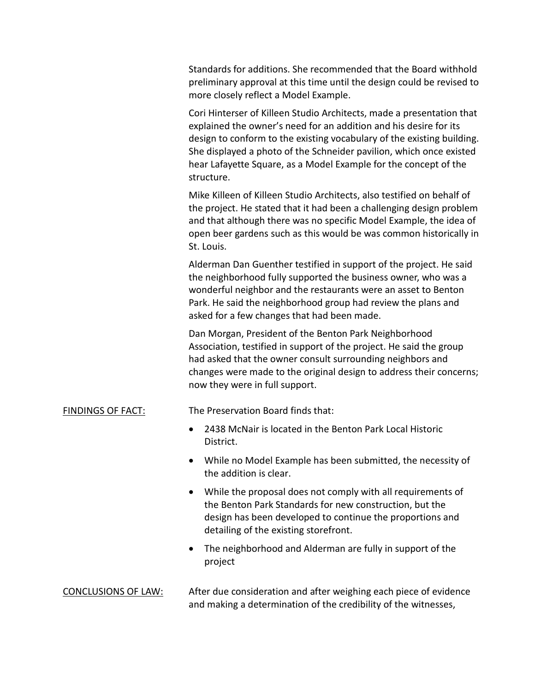Standards for additions. She recommended that the Board withhold preliminary approval at this time until the design could be revised to more closely reflect a Model Example.

Cori Hinterser of Killeen Studio Architects, made a presentation that explained the owner's need for an addition and his desire for its design to conform to the existing vocabulary of the existing building. She displayed a photo of the Schneider pavilion, which once existed hear Lafayette Square, as a Model Example for the concept of the structure.

Mike Killeen of Killeen Studio Architects, also testified on behalf of the project. He stated that it had been a challenging design problem and that although there was no specific Model Example, the idea of open beer gardens such as this would be was common historically in St. Louis.

Alderman Dan Guenther testified in support of the project. He said the neighborhood fully supported the business owner, who was a wonderful neighbor and the restaurants were an asset to Benton Park. He said the neighborhood group had review the plans and asked for a few changes that had been made.

Dan Morgan, President of the Benton Park Neighborhood Association, testified in support of the project. He said the group had asked that the owner consult surrounding neighbors and changes were made to the original design to address their concerns; now they were in full support.

# FINDINGS OF FACT: The Preservation Board finds that:

- 2438 McNair is located in the Benton Park Local Historic District.
- While no Model Example has been submitted, the necessity of the addition is clear.
- While the proposal does not comply with all requirements of the Benton Park Standards for new construction, but the design has been developed to continue the proportions and detailing of the existing storefront.
- The neighborhood and Alderman are fully in support of the project

# CONCLUSIONS OF LAW: After due consideration and after weighing each piece of evidence and making a determination of the credibility of the witnesses,